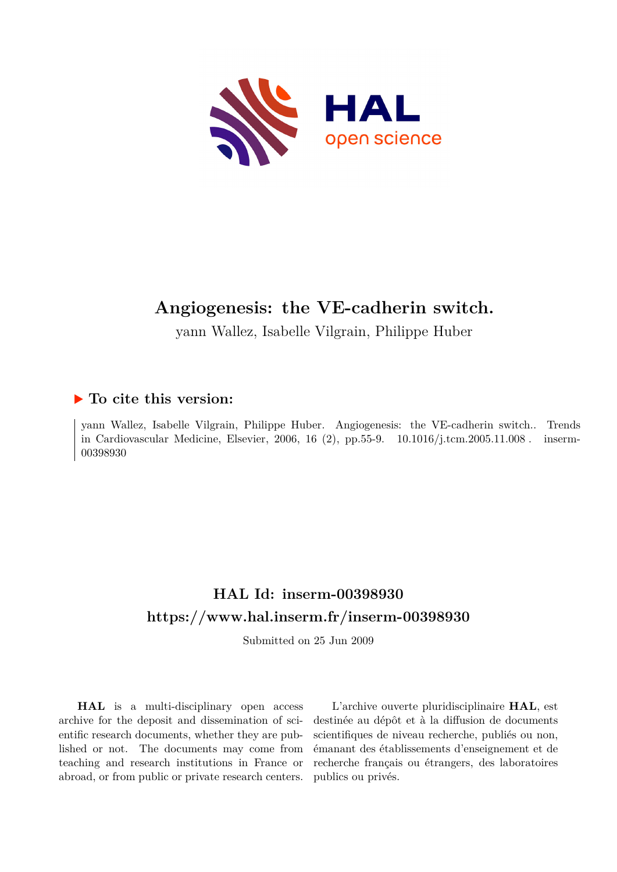

# **Angiogenesis: the VE-cadherin switch.**

yann Wallez, Isabelle Vilgrain, Philippe Huber

## **To cite this version:**

yann Wallez, Isabelle Vilgrain, Philippe Huber. Angiogenesis: the VE-cadherin switch.. Trends in Cardiovascular Medicine, Elsevier, 2006, 16 (2), pp.55-9.  $10.1016/j.$ tcm.2005.11.008. inserm-00398930ff

# **HAL Id: inserm-00398930 <https://www.hal.inserm.fr/inserm-00398930>**

Submitted on 25 Jun 2009

**HAL** is a multi-disciplinary open access archive for the deposit and dissemination of scientific research documents, whether they are published or not. The documents may come from teaching and research institutions in France or abroad, or from public or private research centers.

L'archive ouverte pluridisciplinaire **HAL**, est destinée au dépôt et à la diffusion de documents scientifiques de niveau recherche, publiés ou non, émanant des établissements d'enseignement et de recherche français ou étrangers, des laboratoires publics ou privés.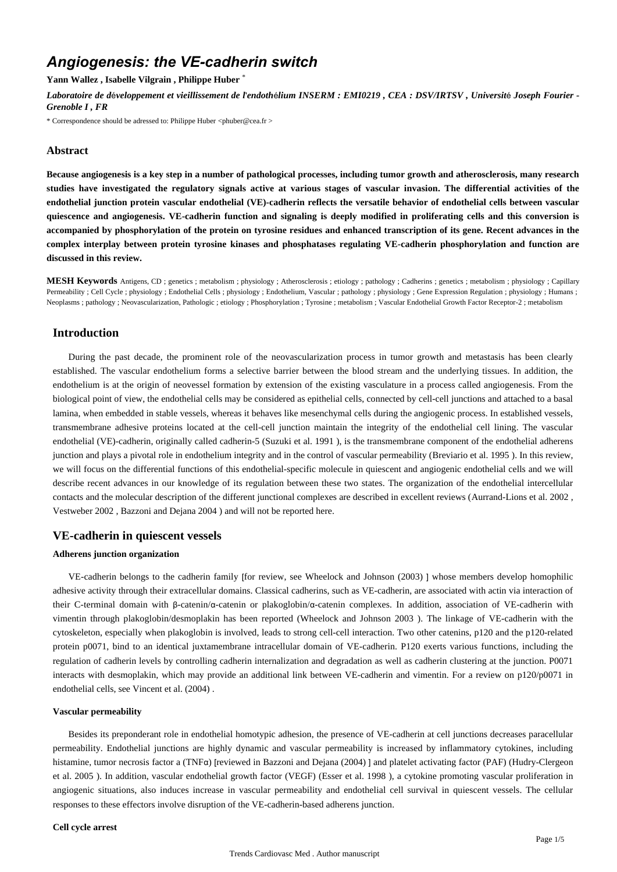## *Angiogenesis: the VE-cadherin switch*

**Yann Wallez , Isabelle Vilgrain , Philippe Huber** \*

*Laboratoire de d*é*veloppement et vieillissement de l*'*endoth*é*lium INSERM : EMI0219 , CEA : DSV/IRTSV , Universit*é *Joseph Fourier - Grenoble I , FR*

\* Correspondence should be adressed to: Philippe Huber <phuber@cea.fr >

### **Abstract**

**Because angiogenesis is a key step in a number of pathological processes, including tumor growth and atherosclerosis, many research studies have investigated the regulatory signals active at various stages of vascular invasion. The differential activities of the endothelial junction protein vascular endothelial (VE)-cadherin reflects the versatile behavior of endothelial cells between vascular quiescence and angiogenesis. VE-cadherin function and signaling is deeply modified in proliferating cells and this conversion is accompanied by phosphorylation of the protein on tyrosine residues and enhanced transcription of its gene. Recent advances in the complex interplay between protein tyrosine kinases and phosphatases regulating VE-cadherin phosphorylation and function are discussed in this review.**

**MESH Keywords** Antigens, CD ; genetics ; metabolism ; physiology ; Atherosclerosis ; etiology ; pathology ; Cadherins ; genetics ; metabolism ; physiology ; Capillary Permeability ; Cell Cycle ; physiology ; Endothelial Cells ; physiology ; Endothelium, Vascular ; pathology ; physiology ; Gene Expression Regulation ; physiology ; Humans ; Neoplasms ; pathology ; Neovascularization, Pathologic ; etiology ; Phosphorylation ; Tyrosine ; metabolism ; Vascular Endothelial Growth Factor Receptor-2 ; metabolism

## **Introduction**

During the past decade, the prominent role of the neovascularization process in tumor growth and metastasis has been clearly established. The vascular endothelium forms a selective barrier between the blood stream and the underlying tissues. In addition, the endothelium is at the origin of neovessel formation by extension of the existing vasculature in a process called angiogenesis. From the biological point of view, the endothelial cells may be considered as epithelial cells, connected by cell-cell junctions and attached to a basal lamina, when embedded in stable vessels, whereas it behaves like mesenchymal cells during the angiogenic process. In established vessels, transmembrane adhesive proteins located at the cell-cell junction maintain the integrity of the endothelial cell lining. The vascular endothelial (VE)-cadherin, originally called cadherin-5 (Suzuki et al. 1991 ), is the transmembrane component of the endothelial adherens junction and plays a pivotal role in endothelium integrity and in the control of vascular permeability (Breviario et al. 1995 ). In this review, we will focus on the differential functions of this endothelial-specific molecule in quiescent and angiogenic endothelial cells and we will describe recent advances in our knowledge of its regulation between these two states. The organization of the endothelial intercellular contacts and the molecular description of the different junctional complexes are described in excellent reviews (Aurrand-Lions et al. 2002 , Vestweber 2002 , Bazzoni and Dejana 2004 ) and will not be reported here.

## **VE-cadherin in quiescent vessels**

#### **Adherens junction organization**

VE-cadherin belongs to the cadherin family [for review, see Wheelock and Johnson (2003) ] whose members develop homophilic adhesive activity through their extracellular domains. Classical cadherins, such as VE-cadherin, are associated with actin via interaction of their C-terminal domain with β-catenin/α-catenin or plakoglobin/α-catenin complexes. In addition, association of VE-cadherin with vimentin through plakoglobin/desmoplakin has been reported (Wheelock and Johnson 2003 ). The linkage of VE-cadherin with the cytoskeleton, especially when plakoglobin is involved, leads to strong cell-cell interaction. Two other catenins, p120 and the p120-related protein p0071, bind to an identical juxtamembrane intracellular domain of VE-cadherin. P120 exerts various functions, including the regulation of cadherin levels by controlling cadherin internalization and degradation as well as cadherin clustering at the junction. P0071 interacts with desmoplakin, which may provide an additional link between VE-cadherin and vimentin. For a review on p120/p0071 in endothelial cells, see Vincent et al. (2004) .

#### **Vascular permeability**

Besides its preponderant role in endothelial homotypic adhesion, the presence of VE-cadherin at cell junctions decreases paracellular permeability. Endothelial junctions are highly dynamic and vascular permeability is increased by inflammatory cytokines, including histamine, tumor necrosis factor a (TNFα) [reviewed in Bazzoni and Dejana (2004) ] and platelet activating factor (PAF) (Hudry-Clergeon et al. 2005 ). In addition, vascular endothelial growth factor (VEGF) (Esser et al. 1998 ), a cytokine promoting vascular proliferation in angiogenic situations, also induces increase in vascular permeability and endothelial cell survival in quiescent vessels. The cellular responses to these effectors involve disruption of the VE-cadherin-based adherens junction.

#### **Cell cycle arrest**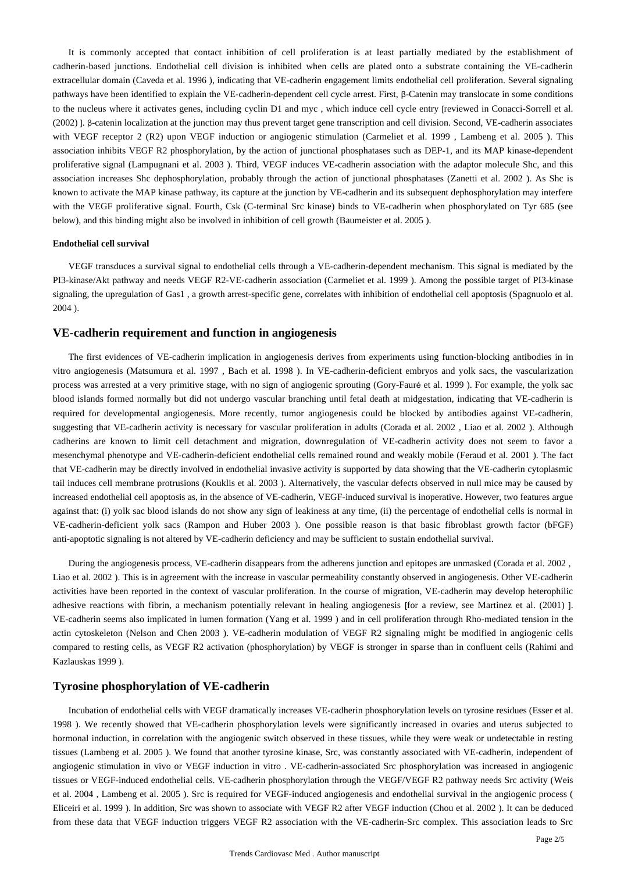It is commonly accepted that contact inhibition of cell proliferation is at least partially mediated by the establishment of cadherin-based junctions. Endothelial cell division is inhibited when cells are plated onto a substrate containing the VE-cadherin extracellular domain (Caveda et al. 1996 ), indicating that VE-cadherin engagement limits endothelial cell proliferation. Several signaling pathways have been identified to explain the VE-cadherin-dependent cell cycle arrest. First, β-Catenin may translocate in some conditions to the nucleus where it activates genes, including cyclin D1 and myc , which induce cell cycle entry [reviewed in Conacci-Sorrell et al. (2002) ]. β-catenin localization at the junction may thus prevent target gene transcription and cell division. Second, VE-cadherin associates with VEGF receptor 2 (R2) upon VEGF induction or angiogenic stimulation (Carmeliet et al. 1999, Lambeng et al. 2005). This association inhibits VEGF R2 phosphorylation, by the action of junctional phosphatases such as DEP-1, and its MAP kinase-dependent proliferative signal (Lampugnani et al. 2003 ). Third, VEGF induces VE-cadherin association with the adaptor molecule Shc, and this association increases Shc dephosphorylation, probably through the action of junctional phosphatases (Zanetti et al. 2002 ). As Shc is known to activate the MAP kinase pathway, its capture at the junction by VE-cadherin and its subsequent dephosphorylation may interfere with the VEGF proliferative signal. Fourth, Csk (C-terminal Src kinase) binds to VE-cadherin when phosphorylated on Tyr 685 (see below), and this binding might also be involved in inhibition of cell growth (Baumeister et al. 2005 ).

#### **Endothelial cell survival**

VEGF transduces a survival signal to endothelial cells through a VE-cadherin-dependent mechanism. This signal is mediated by the PI3-kinase/Akt pathway and needs VEGF R2-VE-cadherin association (Carmeliet et al. 1999 ). Among the possible target of PI3-kinase signaling, the upregulation of Gas1 , a growth arrest-specific gene, correlates with inhibition of endothelial cell apoptosis (Spagnuolo et al. 2004 ).

## **VE-cadherin requirement and function in angiogenesis**

The first evidences of VE-cadherin implication in angiogenesis derives from experiments using function-blocking antibodies in in vitro angiogenesis (Matsumura et al. 1997 , Bach et al. 1998 ). In VE-cadherin-deficient embryos and yolk sacs, the vascularization process was arrested at a very primitive stage, with no sign of angiogenic sprouting (Gory-Fauré et al. 1999 ). For example, the yolk sac blood islands formed normally but did not undergo vascular branching until fetal death at midgestation, indicating that VE-cadherin is required for developmental angiogenesis. More recently, tumor angiogenesis could be blocked by antibodies against VE-cadherin, suggesting that VE-cadherin activity is necessary for vascular proliferation in adults (Corada et al. 2002 , Liao et al. 2002 ). Although cadherins are known to limit cell detachment and migration, downregulation of VE-cadherin activity does not seem to favor a mesenchymal phenotype and VE-cadherin-deficient endothelial cells remained round and weakly mobile (Feraud et al. 2001 ). The fact that VE-cadherin may be directly involved in endothelial invasive activity is supported by data showing that the VE-cadherin cytoplasmic tail induces cell membrane protrusions (Kouklis et al. 2003 ). Alternatively, the vascular defects observed in null mice may be caused by increased endothelial cell apoptosis as, in the absence of VE-cadherin, VEGF-induced survival is inoperative. However, two features argue against that: (i) yolk sac blood islands do not show any sign of leakiness at any time, (ii) the percentage of endothelial cells is normal in VE-cadherin-deficient yolk sacs (Rampon and Huber 2003 ). One possible reason is that basic fibroblast growth factor (bFGF) anti-apoptotic signaling is not altered by VE-cadherin deficiency and may be sufficient to sustain endothelial survival.

During the angiogenesis process, VE-cadherin disappears from the adherens junction and epitopes are unmasked (Corada et al. 2002 , Liao et al. 2002 ). This is in agreement with the increase in vascular permeability constantly observed in angiogenesis. Other VE-cadherin activities have been reported in the context of vascular proliferation. In the course of migration, VE-cadherin may develop heterophilic adhesive reactions with fibrin, a mechanism potentially relevant in healing angiogenesis [for a review, see Martinez et al. (2001) ]. VE-cadherin seems also implicated in lumen formation (Yang et al. 1999 ) and in cell proliferation through Rho-mediated tension in the actin cytoskeleton (Nelson and Chen 2003 ). VE-cadherin modulation of VEGF R2 signaling might be modified in angiogenic cells compared to resting cells, as VEGF R2 activation (phosphorylation) by VEGF is stronger in sparse than in confluent cells (Rahimi and Kazlauskas 1999 ).

## **Tyrosine phosphorylation of VE-cadherin**

Incubation of endothelial cells with VEGF dramatically increases VE-cadherin phosphorylation levels on tyrosine residues (Esser et al. 1998 ). We recently showed that VE-cadherin phosphorylation levels were significantly increased in ovaries and uterus subjected to hormonal induction, in correlation with the angiogenic switch observed in these tissues, while they were weak or undetectable in resting tissues (Lambeng et al. 2005 ). We found that another tyrosine kinase, Src, was constantly associated with VE-cadherin, independent of angiogenic stimulation in vivo or VEGF induction in vitro . VE-cadherin-associated Src phosphorylation was increased in angiogenic tissues or VEGF-induced endothelial cells. VE-cadherin phosphorylation through the VEGF/VEGF R2 pathway needs Src activity (Weis et al. 2004 , Lambeng et al. 2005 ). Src is required for VEGF-induced angiogenesis and endothelial survival in the angiogenic process ( Eliceiri et al. 1999 ). In addition, Src was shown to associate with VEGF R2 after VEGF induction (Chou et al. 2002 ). It can be deduced from these data that VEGF induction triggers VEGF R2 association with the VE-cadherin-Src complex. This association leads to Src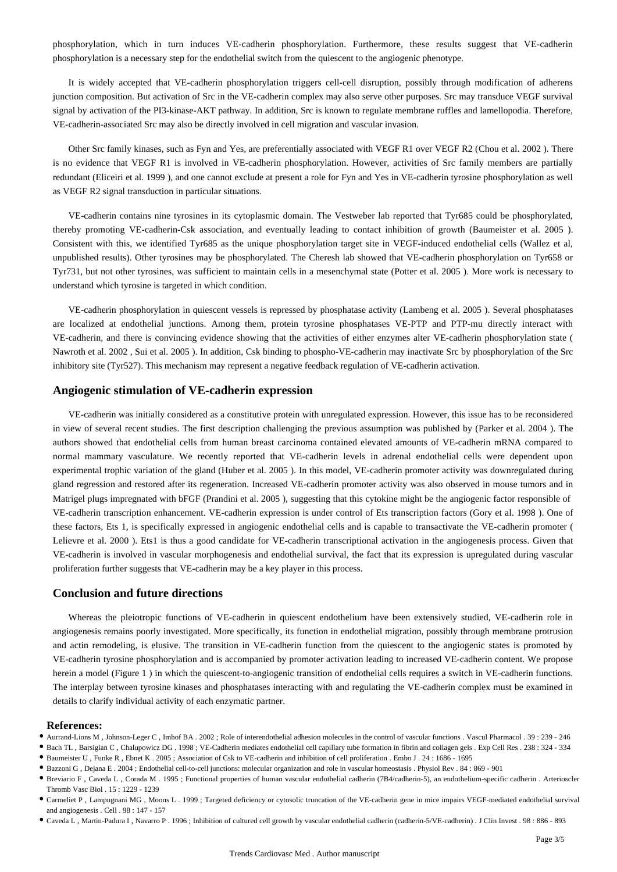phosphorylation, which in turn induces VE-cadherin phosphorylation. Furthermore, these results suggest that VE-cadherin phosphorylation is a necessary step for the endothelial switch from the quiescent to the angiogenic phenotype.

It is widely accepted that VE-cadherin phosphorylation triggers cell-cell disruption, possibly through modification of adherens junction composition. But activation of Src in the VE-cadherin complex may also serve other purposes. Src may transduce VEGF survival signal by activation of the PI3-kinase-AKT pathway. In addition, Src is known to regulate membrane ruffles and lamellopodia. Therefore, VE-cadherin-associated Src may also be directly involved in cell migration and vascular invasion.

Other Src family kinases, such as Fyn and Yes, are preferentially associated with VEGF R1 over VEGF R2 (Chou et al. 2002 ). There is no evidence that VEGF R1 is involved in VE-cadherin phosphorylation. However, activities of Src family members are partially redundant (Eliceiri et al. 1999 ), and one cannot exclude at present a role for Fyn and Yes in VE-cadherin tyrosine phosphorylation as well as VEGF R2 signal transduction in particular situations.

VE-cadherin contains nine tyrosines in its cytoplasmic domain. The Vestweber lab reported that Tyr685 could be phosphorylated, thereby promoting VE-cadherin-Csk association, and eventually leading to contact inhibition of growth (Baumeister et al. 2005 ). Consistent with this, we identified Tyr685 as the unique phosphorylation target site in VEGF-induced endothelial cells (Wallez et al, unpublished results). Other tyrosines may be phosphorylated. The Cheresh lab showed that VE-cadherin phosphorylation on Tyr658 or Tyr731, but not other tyrosines, was sufficient to maintain cells in a mesenchymal state (Potter et al. 2005 ). More work is necessary to understand which tyrosine is targeted in which condition.

VE-cadherin phosphorylation in quiescent vessels is repressed by phosphatase activity (Lambeng et al. 2005 ). Several phosphatases are localized at endothelial junctions. Among them, protein tyrosine phosphatases VE-PTP and PTP-mu directly interact with VE-cadherin, and there is convincing evidence showing that the activities of either enzymes alter VE-cadherin phosphorylation state ( Nawroth et al. 2002 , Sui et al. 2005 ). In addition, Csk binding to phospho-VE-cadherin may inactivate Src by phosphorylation of the Src inhibitory site (Tyr527). This mechanism may represent a negative feedback regulation of VE-cadherin activation.

## **Angiogenic stimulation of VE-cadherin expression**

VE-cadherin was initially considered as a constitutive protein with unregulated expression. However, this issue has to be reconsidered in view of several recent studies. The first description challenging the previous assumption was published by (Parker et al. 2004 ). The authors showed that endothelial cells from human breast carcinoma contained elevated amounts of VE-cadherin mRNA compared to normal mammary vasculature. We recently reported that VE-cadherin levels in adrenal endothelial cells were dependent upon experimental trophic variation of the gland (Huber et al. 2005 ). In this model, VE-cadherin promoter activity was downregulated during gland regression and restored after its regeneration. Increased VE-cadherin promoter activity was also observed in mouse tumors and in Matrigel plugs impregnated with bFGF (Prandini et al. 2005 ), suggesting that this cytokine might be the angiogenic factor responsible of VE-cadherin transcription enhancement. VE-cadherin expression is under control of Ets transcription factors (Gory et al. 1998 ). One of these factors, Ets 1, is specifically expressed in angiogenic endothelial cells and is capable to transactivate the VE-cadherin promoter ( Lelievre et al. 2000 ). Ets1 is thus a good candidate for VE-cadherin transcriptional activation in the angiogenesis process. Given that VE-cadherin is involved in vascular morphogenesis and endothelial survival, the fact that its expression is upregulated during vascular proliferation further suggests that VE-cadherin may be a key player in this process.

## **Conclusion and future directions**

Whereas the pleiotropic functions of VE-cadherin in quiescent endothelium have been extensively studied, VE-cadherin role in angiogenesis remains poorly investigated. More specifically, its function in endothelial migration, possibly through membrane protrusion and actin remodeling, is elusive. The transition in VE-cadherin function from the quiescent to the angiogenic states is promoted by VE-cadherin tyrosine phosphorylation and is accompanied by promoter activation leading to increased VE-cadherin content. We propose herein a model (Figure 1 ) in which the quiescent-to-angiogenic transition of endothelial cells requires a switch in VE-cadherin functions. The interplay between tyrosine kinases and phosphatases interacting with and regulating the VE-cadherin complex must be examined in details to clarify individual activity of each enzymatic partner.

#### **References:**

Aurrand-Lions M , Johnson-Leger C , Imhof BA . 2002 ; Role of interendothelial adhesion molecules in the control of vascular functions . Vascul Pharmacol . 39 : 239 - 246

Bach TL , Barsigian C , Chalupowicz DG . 1998 ; VE-Cadherin mediates endothelial cell capillary tube formation in fibrin and collagen gels . Exp Cell Res . 238 : 324 - 334

Baumeister U , Funke R , Ebnet K . 2005 ; Association of Csk to VE-cadherin and inhibition of cell proliferation . Embo J . 24 : 1686 - 1695

Bazzoni G , Dejana E . 2004 ; Endothelial cell-to-cell junctions: molecular organization and role in vascular homeostasis . Physiol Rev . 84 : 869 - 901

Breviario F , Caveda L , Corada M . 1995 ; Functional properties of human vascular endothelial cadherin (7B4/cadherin-5), an endothelium-specific cadherin . Arterioscler Thromb Vasc Biol . 15 : 1229 - 1239

Carmeliet P , Lampugnani MG , Moons L . 1999 ; Targeted deficiency or cytosolic truncation of the VE-cadherin gene in mice impairs VEGF-mediated endothelial survival and angiogenesis . Cell . 98 : 147 - 157

Caveda L , Martin-Padura I , Navarro P . 1996 ; Inhibition of cultured cell growth by vascular endothelial cadherin (cadherin-5/VE-cadherin) . J Clin Invest . 98 : 886 - 893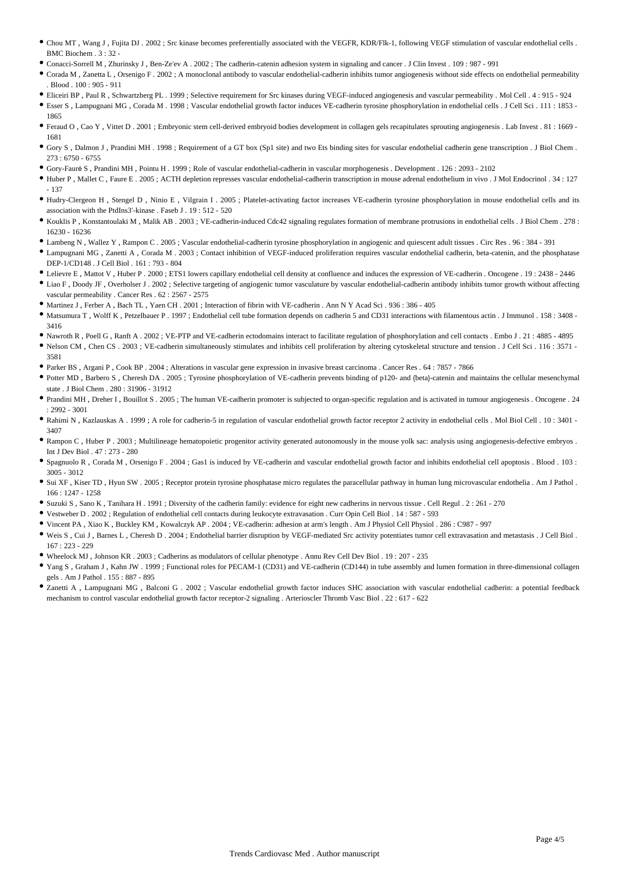- Chou MT , Wang J , Fujita DJ . 2002 ; Src kinase becomes preferentially associated with the VEGFR, KDR/Flk-1, following VEGF stimulation of vascular endothelial cells . BMC Biochem . 3 : 32 -
- Conacci-Sorrell M , Zhurinsky J , Ben-Ze'ev A . 2002 ; The cadherin-catenin adhesion system in signaling and cancer . J Clin Invest . 109 : 987 991
- Corada M , Zanetta L , Orsenigo F . 2002 ; A monoclonal antibody to vascular endothelial-cadherin inhibits tumor angiogenesis without side effects on endothelial permeability . Blood . 100 : 905 - 911
- Eliceiri BP , Paul R , Schwartzberg PL . 1999 ; Selective requirement for Src kinases during VEGF-induced angiogenesis and vascular permeability . Mol Cell . 4 : 915 924
- Esser S , Lampugnani MG , Corada M . 1998 ; Vascular endothelial growth factor induces VE-cadherin tyrosine phosphorylation in endothelial cells . J Cell Sci . 111 : 1853 1865
- Feraud O , Cao Y , Vittet D . 2001 ; Embryonic stem cell-derived embryoid bodies development in collagen gels recapitulates sprouting angiogenesis . Lab Invest . 81 : 1669 1681
- Gory S , Dalmon J , Prandini MH . 1998 ; Requirement of a GT box (Sp1 site) and two Ets binding sites for vascular endothelial cadherin gene transcription . J Biol Chem .  $273 \cdot 6750 - 6755$
- Gory-Fauré S , Prandini MH , Pointu H . 1999 ; Role of vascular endothelial-cadherin in vascular morphogenesis . Development . 126 : 2093 2102
- Huber P , Mallet C , Faure E . 2005 ; ACTH depletion represses vascular endothelial-cadherin transcription in mouse adrenal endothelium in vivo . J Mol Endocrinol . 34 : 127 - 137
- Hudry-Clergeon H , Stengel D , Ninio E , Vilgrain I . 2005 ; Platelet-activating factor increases VE-cadherin tyrosine phosphorylation in mouse endothelial cells and its association with the PtdIns3′-kinase . Faseb J . 19 : 512 - 520
- Kouklis P , Konstantoulaki M , Malik AB . 2003 ; VE-cadherin-induced Cdc42 signaling regulates formation of membrane protrusions in endothelial cells . J Biol Chem . 278 : 16230 - 16236
- Lambeng N , Wallez Y , Rampon C . 2005 ; Vascular endothelial-cadherin tyrosine phosphorylation in angiogenic and quiescent adult tissues . Circ Res . 96 : 384 391
- Lampugnani MG , Zanetti A , Corada M . 2003 ; Contact inhibition of VEGF-induced proliferation requires vascular endothelial cadherin, beta-catenin, and the phosphatase DEP-1/CD148 . J Cell Biol . 161 : 793 - 804
- Lelievre E , Mattot V , Huber P . 2000 ; ETS1 lowers capillary endothelial cell density at confluence and induces the expression of VE-cadherin . Oncogene . 19 : 2438 2446
- Liao F , Doody JF , Overholser J . 2002 ; Selective targeting of angiogenic tumor vasculature by vascular endothelial-cadherin antibody inhibits tumor growth without affecting vascular permeability . Cancer Res . 62 : 2567 - 2575
- Martinez J , Ferber A , Bach TL , Yaen CH . 2001 ; Interaction of fibrin with VE-cadherin . Ann N Y Acad Sci . 936 : 386 405
- Matsumura T , Wolff K , Petzelbauer P . 1997 ; Endothelial cell tube formation depends on cadherin 5 and CD31 interactions with filamentous actin . J Immunol . 158 : 3408 3416
- Nawroth R , Poell G , Ranft A . 2002 ; VE-PTP and VE-cadherin ectodomains interact to facilitate regulation of phosphorylation and cell contacts . Embo J . 21 : 4885 4895
- Nelson CM , Chen CS . 2003 ; VE-cadherin simultaneously stimulates and inhibits cell proliferation by altering cytoskeletal structure and tension . J Cell Sci . 116 : 3571 3581
- Parker BS , Argani P , Cook BP . 2004 ; Alterations in vascular gene expression in invasive breast carcinoma . Cancer Res . 64 : 7857 7866
- Potter MD , Barbero S , Cheresh DA . 2005 ; Tyrosine phosphorylation of VE-cadherin prevents binding of p120- and {beta}-catenin and maintains the cellular mesenchymal state . J Biol Chem . 280 : 31906 - 31912
- Prandini MH , Dreher I , Bouillot S . 2005 ; The human VE-cadherin promoter is subjected to organ-specific regulation and is activated in tumour angiogenesis . Oncogene . 24 : 2992 - 3001
- Rahimi N , Kazlauskas A . 1999 ; A role for cadherin-5 in regulation of vascular endothelial growth factor receptor 2 activity in endothelial cells . Mol Biol Cell . 10 : 3401 3407
- Rampon C, Huber P . 2003; Multilineage hematopoietic progenitor activity generated autonomously in the mouse yolk sac: analysis using angiogenesis-defective embryos. Int I Dev Biol  $.47 \cdot 273 = 280$
- Spagnuolo R , Corada M , Orsenigo F . 2004 ; Gas1 is induced by VE-cadherin and vascular endothelial growth factor and inhibits endothelial cell apoptosis . Blood . 103 : 3005 - 3012
- Sui XF , Kiser TD , Hyun SW . 2005 ; Receptor protein tyrosine phosphatase micro regulates the paracellular pathway in human lung microvascular endothelia . Am J Pathol . 166 : 1247 - 1258
- Suzuki S , Sano K , Tanihara H . 1991 ; Diversity of the cadherin family: evidence for eight new cadherins in nervous tissue . Cell Regul . 2 : 261 270
- Vestweber D . 2002 ; Regulation of endothelial cell contacts during leukocyte extravasation . Curr Opin Cell Biol . 14 : 587 593
- Vincent PA , Xiao K , Buckley KM , Kowalczyk AP . 2004 ; VE-cadherin: adhesion at arm's length . Am J Physiol Cell Physiol . 286 : C987 997
- Weis S , Cui J , Barnes L , Cheresh D . 2004 ; Endothelial barrier disruption by VEGF-mediated Src activity potentiates tumor cell extravasation and metastasis . J Cell Biol . 167 : 223 - 229
- Wheelock MJ , Johnson KR . 2003 ; Cadherins as modulators of cellular phenotype . Annu Rev Cell Dev Biol . 19 : 207 235
- Yang S , Graham J , Kahn JW . 1999 ; Functional roles for PECAM-1 (CD31) and VE-cadherin (CD144) in tube assembly and lumen formation in three-dimensional collagen gels . Am J Pathol . 155 : 887 - 895
- Zanetti A , Lampugnani MG , Balconi G . 2002 ; Vascular endothelial growth factor induces SHC association with vascular endothelial cadherin: a potential feedback mechanism to control vascular endothelial growth factor receptor-2 signaling . Arterioscler Thromb Vasc Biol . 22 : 617 - 622